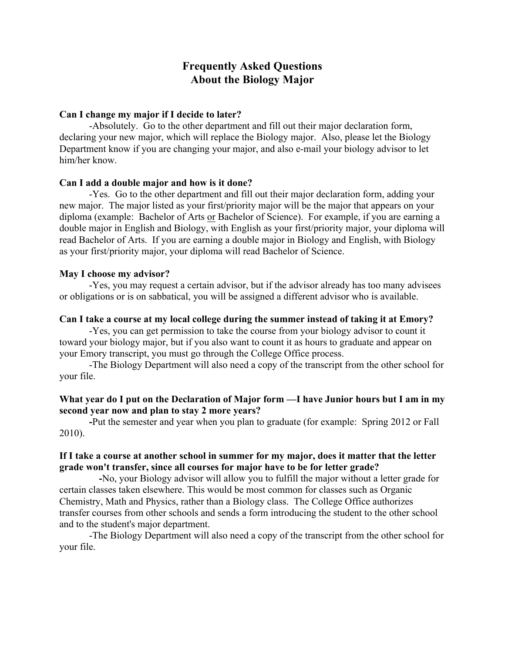# **Frequently Asked Questions About the Biology Major**

## **Can I change my major if I decide to later?**

-Absolutely. Go to the other department and fill out their major declaration form, declaring your new major, which will replace the Biology major. Also, please let the Biology Department know if you are changing your major, and also e-mail your biology advisor to let him/her know.

# **Can I add a double major and how is it done?**

-Yes. Go to the other department and fill out their major declaration form, adding your new major. The major listed as your first/priority major will be the major that appears on your diploma (example: Bachelor of Arts or Bachelor of Science). For example, if you are earning a double major in English and Biology, with English as your first/priority major, your diploma will read Bachelor of Arts. If you are earning a double major in Biology and English, with Biology as your first/priority major, your diploma will read Bachelor of Science.

## **May I choose my advisor?**

-Yes, you may request a certain advisor, but if the advisor already has too many advisees or obligations or is on sabbatical, you will be assigned a different advisor who is available.

## **Can I take a course at my local college during the summer instead of taking it at Emory?**

-Yes, you can get permission to take the course from your biology advisor to count it toward your biology major, but if you also want to count it as hours to graduate and appear on your Emory transcript, you must go through the College Office process.

-The Biology Department will also need a copy of the transcript from the other school for your file.

# **What year do I put on the Declaration of Major form —I have Junior hours but I am in my second year now and plan to stay 2 more years?**

**-**Put the semester and year when you plan to graduate (for example: Spring 2012 or Fall 2010).

# **If I take a course at another school in summer for my major, does it matter that the letter grade won't transfer, since all courses for major have to be for letter grade?**

**-**No, your Biology advisor will allow you to fulfill the major without a letter grade for certain classes taken elsewhere. This would be most common for classes such as Organic Chemistry, Math and Physics, rather than a Biology class. The College Office authorizes transfer courses from other schools and sends a form introducing the student to the other school and to the student's major department.

 -The Biology Department will also need a copy of the transcript from the other school for your file.